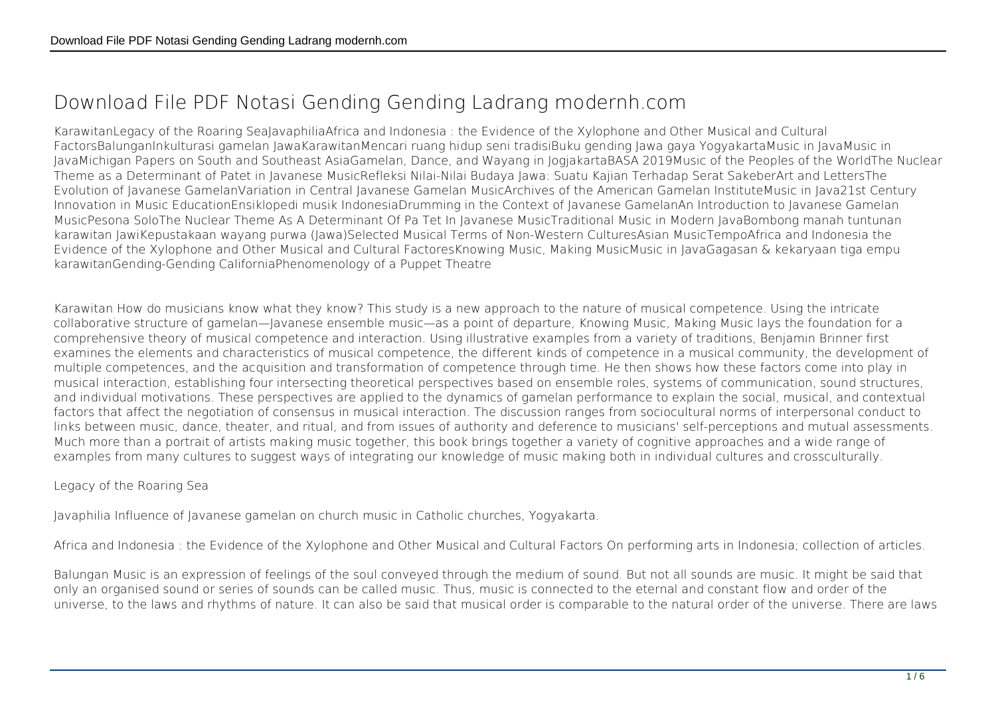## **Download File PDF Notasi Gending Gending Ladrang modernh.com**

KarawitanLegacy of the Roaring SeaJavaphiliaAfrica and Indonesia : the Evidence of the Xylophone and Other Musical and Cultural FactorsBalunganInkulturasi gamelan JawaKarawitanMencari ruang hidup seni tradisiBuku gending Jawa gaya YogyakartaMusic in JavaMusic in JavaMichigan Papers on South and Southeast AsiaGamelan, Dance, and Wayang in JogjakartaBASA 2019Music of the Peoples of the WorldThe Nuclear Theme as a Determinant of Patet in Javanese MusicRefleksi Nilai-Nilai Budaya Jawa: Suatu Kajian Terhadap Serat SakeberArt and LettersThe Evolution of Javanese GamelanVariation in Central Javanese Gamelan MusicArchives of the American Gamelan InstituteMusic in Java21st Century Innovation in Music EducationEnsiklopedi musik IndonesiaDrumming in the Context of Javanese GamelanAn Introduction to Javanese Gamelan MusicPesona SoloThe Nuclear Theme As A Determinant Of Pa Tet In Javanese MusicTraditional Music in Modern JavaBombong manah tuntunan karawitan JawiKepustakaan wayang purwa (Jawa)Selected Musical Terms of Non-Western CulturesAsian MusicTempoAfrica and Indonesia the Evidence of the Xylophone and Other Musical and Cultural FactoresKnowing Music, Making MusicMusic in JavaGagasan & kekaryaan tiga empu karawitanGending-Gending CaliforniaPhenomenology of a Puppet Theatre

Karawitan How do musicians know what they know? This study is a new approach to the nature of musical competence. Using the intricate collaborative structure of gamelan—Javanese ensemble music—as a point of departure, Knowing Music, Making Music lays the foundation for a comprehensive theory of musical competence and interaction. Using illustrative examples from a variety of traditions, Benjamin Brinner first examines the elements and characteristics of musical competence, the different kinds of competence in a musical community, the development of multiple competences, and the acquisition and transformation of competence through time. He then shows how these factors come into play in musical interaction, establishing four intersecting theoretical perspectives based on ensemble roles, systems of communication, sound structures, and individual motivations. These perspectives are applied to the dynamics of gamelan performance to explain the social, musical, and contextual factors that affect the negotiation of consensus in musical interaction. The discussion ranges from sociocultural norms of interpersonal conduct to links between music, dance, theater, and ritual, and from issues of authority and deference to musicians' self-perceptions and mutual assessments. Much more than a portrait of artists making music together, this book brings together a variety of cognitive approaches and a wide range of examples from many cultures to suggest ways of integrating our knowledge of music making both in individual cultures and crossculturally.

Legacy of the Roaring Sea

Javaphilia Influence of Javanese gamelan on church music in Catholic churches, Yogyakarta.

Africa and Indonesia : the Evidence of the Xylophone and Other Musical and Cultural Factors On performing arts in Indonesia; collection of articles.

Balungan Music is an expression of feelings of the soul conveyed through the medium of sound. But not all sounds are music. It might be said that only an organised sound or series of sounds can be called music. Thus, music is connected to the eternal and constant flow and order of the universe, to the laws and rhythms of nature. It can also be said that musical order is comparable to the natural order of the universe. There are laws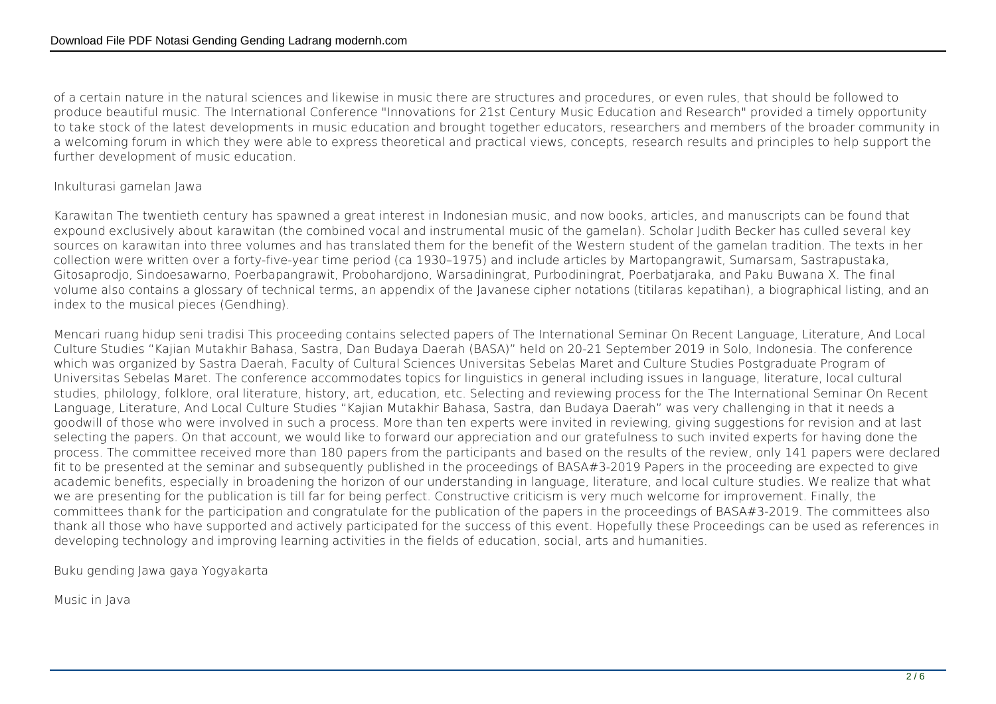of a certain nature in the natural sciences and likewise in music there are structures and procedures, or even rules, that should be followed to produce beautiful music. The International Conference "Innovations for 21st Century Music Education and Research" provided a timely opportunity to take stock of the latest developments in music education and brought together educators, researchers and members of the broader community in a welcoming forum in which they were able to express theoretical and practical views, concepts, research results and principles to help support the further development of music education.

## Inkulturasi gamelan Jawa

Karawitan The twentieth century has spawned a great interest in Indonesian music, and now books, articles, and manuscripts can be found that expound exclusively about karawitan (the combined vocal and instrumental music of the gamelan). Scholar Judith Becker has culled several key sources on karawitan into three volumes and has translated them for the benefit of the Western student of the gamelan tradition. The texts in her collection were written over a forty-five-year time period (ca 1930–1975) and include articles by Martopangrawit, Sumarsam, Sastrapustaka, Gitosaprodjo, Sindoesawarno, Poerbapangrawit, Probohardjono, Warsadiningrat, Purbodiningrat, Poerbatjaraka, and Paku Buwana X. The final volume also contains a glossary of technical terms, an appendix of the Javanese cipher notations (titilaras kepatihan), a biographical listing, and an index to the musical pieces (Gendhing).

Mencari ruang hidup seni tradisi This proceeding contains selected papers of The International Seminar On Recent Language, Literature, And Local Culture Studies "Kajian Mutakhir Bahasa, Sastra, Dan Budaya Daerah (BASA)" held on 20-21 September 2019 in Solo, Indonesia. The conference which was organized by Sastra Daerah, Faculty of Cultural Sciences Universitas Sebelas Maret and Culture Studies Postgraduate Program of Universitas Sebelas Maret. The conference accommodates topics for linguistics in general including issues in language, literature, local cultural studies, philology, folklore, oral literature, history, art, education, etc. Selecting and reviewing process for the The International Seminar On Recent Language, Literature, And Local Culture Studies "Kajian Mutakhir Bahasa, Sastra, dan Budaya Daerah" was very challenging in that it needs a goodwill of those who were involved in such a process. More than ten experts were invited in reviewing, giving suggestions for revision and at last selecting the papers. On that account, we would like to forward our appreciation and our gratefulness to such invited experts for having done the process. The committee received more than 180 papers from the participants and based on the results of the review, only 141 papers were declared fit to be presented at the seminar and subsequently published in the proceedings of BASA#3-2019 Papers in the proceeding are expected to give academic benefits, especially in broadening the horizon of our understanding in language, literature, and local culture studies. We realize that what we are presenting for the publication is till far for being perfect. Constructive criticism is very much welcome for improvement. Finally, the committees thank for the participation and congratulate for the publication of the papers in the proceedings of BASA#3-2019. The committees also thank all those who have supported and actively participated for the success of this event. Hopefully these Proceedings can be used as references in developing technology and improving learning activities in the fields of education, social, arts and humanities.

Buku gending Jawa gaya Yogyakarta

Music in Java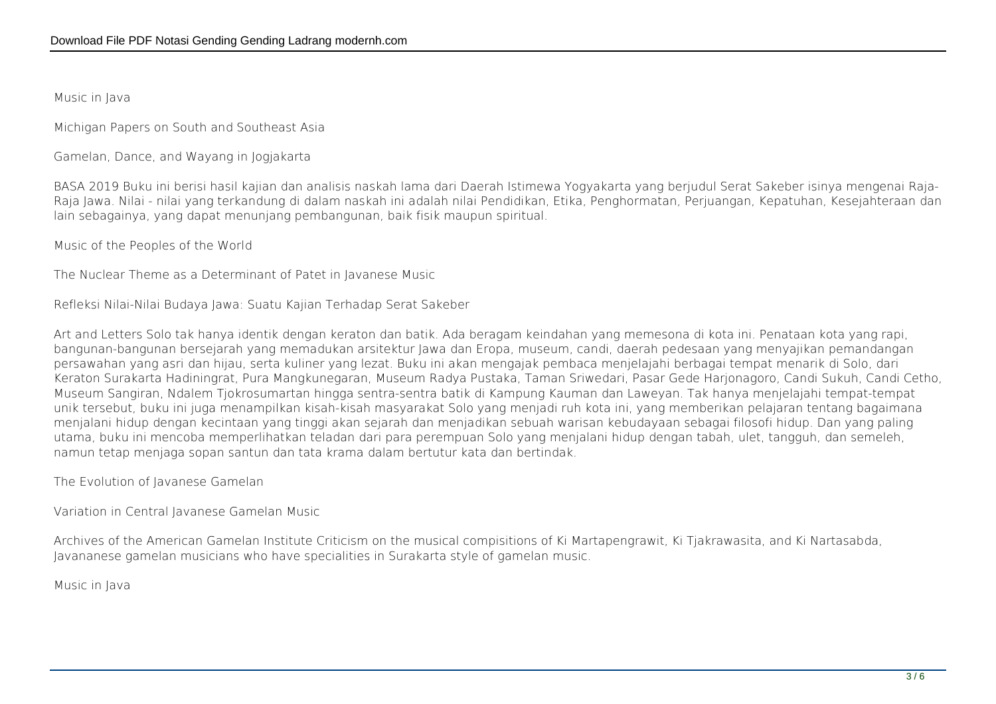Music in Java

Michigan Papers on South and Southeast Asia

Gamelan, Dance, and Wayang in Jogjakarta

BASA 2019 Buku ini berisi hasil kajian dan analisis naskah lama dari Daerah Istimewa Yogyakarta yang berjudul Serat Sakeber isinya mengenai Raja-Raja Jawa. Nilai - nilai yang terkandung di dalam naskah ini adalah nilai Pendidikan, Etika, Penghormatan, Perjuangan, Kepatuhan, Kesejahteraan dan lain sebagainya, yang dapat menunjang pembangunan, baik fisik maupun spiritual.

Music of the Peoples of the World

The Nuclear Theme as a Determinant of Patet in Javanese Music

Refleksi Nilai-Nilai Budaya Jawa: Suatu Kajian Terhadap Serat Sakeber

Art and Letters Solo tak hanya identik dengan keraton dan batik. Ada beragam keindahan yang memesona di kota ini. Penataan kota yang rapi, bangunan-bangunan bersejarah yang memadukan arsitektur Jawa dan Eropa, museum, candi, daerah pedesaan yang menyajikan pemandangan persawahan yang asri dan hijau, serta kuliner yang lezat. Buku ini akan mengajak pembaca menjelajahi berbagai tempat menarik di Solo, dari Keraton Surakarta Hadiningrat, Pura Mangkunegaran, Museum Radya Pustaka, Taman Sriwedari, Pasar Gede Harjonagoro, Candi Sukuh, Candi Cetho, Museum Sangiran, Ndalem Tjokrosumartan hingga sentra-sentra batik di Kampung Kauman dan Laweyan. Tak hanya menjelajahi tempat-tempat unik tersebut, buku ini juga menampilkan kisah-kisah masyarakat Solo yang menjadi ruh kota ini, yang memberikan pelajaran tentang bagaimana menjalani hidup dengan kecintaan yang tinggi akan sejarah dan menjadikan sebuah warisan kebudayaan sebagai filosofi hidup. Dan yang paling utama, buku ini mencoba memperlihatkan teladan dari para perempuan Solo yang menjalani hidup dengan tabah, ulet, tangguh, dan semeleh, namun tetap menjaga sopan santun dan tata krama dalam bertutur kata dan bertindak.

The Evolution of Javanese Gamelan

Variation in Central Javanese Gamelan Music

Archives of the American Gamelan Institute Criticism on the musical compisitions of Ki Martapengrawit, Ki Tjakrawasita, and Ki Nartasabda, Javananese gamelan musicians who have specialities in Surakarta style of gamelan music.

Music in Java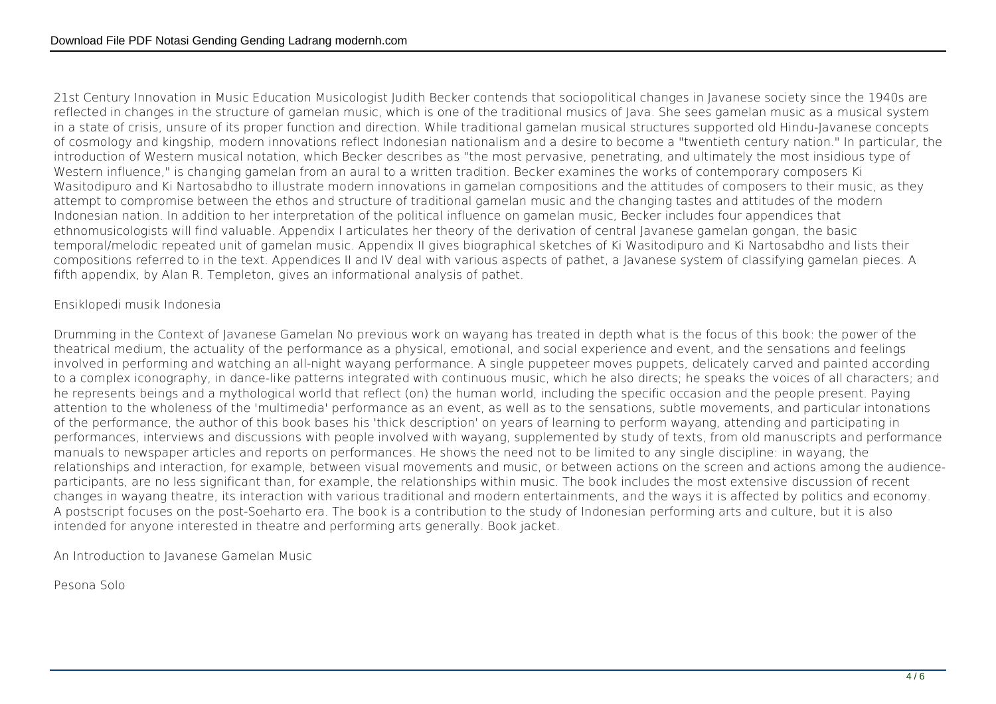21st Century Innovation in Music Education Musicologist Judith Becker contends that sociopolitical changes in Javanese society since the 1940s are reflected in changes in the structure of gamelan music, which is one of the traditional musics of Java. She sees gamelan music as a musical system in a state of crisis, unsure of its proper function and direction. While traditional gamelan musical structures supported old Hindu-Javanese concepts of cosmology and kingship, modern innovations reflect Indonesian nationalism and a desire to become a "twentieth century nation." In particular, the introduction of Western musical notation, which Becker describes as "the most pervasive, penetrating, and ultimately the most insidious type of Western influence," is changing gamelan from an aural to a written tradition. Becker examines the works of contemporary composers Ki Wasitodipuro and Ki Nartosabdho to illustrate modern innovations in gamelan compositions and the attitudes of composers to their music, as they attempt to compromise between the ethos and structure of traditional gamelan music and the changing tastes and attitudes of the modern Indonesian nation. In addition to her interpretation of the political influence on gamelan music, Becker includes four appendices that ethnomusicologists will find valuable. Appendix I articulates her theory of the derivation of central Javanese gamelan gongan, the basic temporal/melodic repeated unit of gamelan music. Appendix II gives biographical sketches of Ki Wasitodipuro and Ki Nartosabdho and lists their compositions referred to in the text. Appendices II and IV deal with various aspects of pathet, a Javanese system of classifying gamelan pieces. A fifth appendix, by Alan R. Templeton, gives an informational analysis of pathet.

## Ensiklopedi musik Indonesia

Drumming in the Context of Javanese Gamelan No previous work on wayang has treated in depth what is the focus of this book: the power of the theatrical medium, the actuality of the performance as a physical, emotional, and social experience and event, and the sensations and feelings involved in performing and watching an all-night wayang performance. A single puppeteer moves puppets, delicately carved and painted according to a complex iconography, in dance-like patterns integrated with continuous music, which he also directs; he speaks the voices of all characters; and he represents beings and a mythological world that reflect (on) the human world, including the specific occasion and the people present. Paying attention to the wholeness of the 'multimedia' performance as an event, as well as to the sensations, subtle movements, and particular intonations of the performance, the author of this book bases his 'thick description' on years of learning to perform wayang, attending and participating in performances, interviews and discussions with people involved with wayang, supplemented by study of texts, from old manuscripts and performance manuals to newspaper articles and reports on performances. He shows the need not to be limited to any single discipline: in wayang, the relationships and interaction, for example, between visual movements and music, or between actions on the screen and actions among the audienceparticipants, are no less significant than, for example, the relationships within music. The book includes the most extensive discussion of recent changes in wayang theatre, its interaction with various traditional and modern entertainments, and the ways it is affected by politics and economy. A postscript focuses on the post-Soeharto era. The book is a contribution to the study of Indonesian performing arts and culture, but it is also intended for anyone interested in theatre and performing arts generally. Book jacket.

An Introduction to Javanese Gamelan Music

Pesona Solo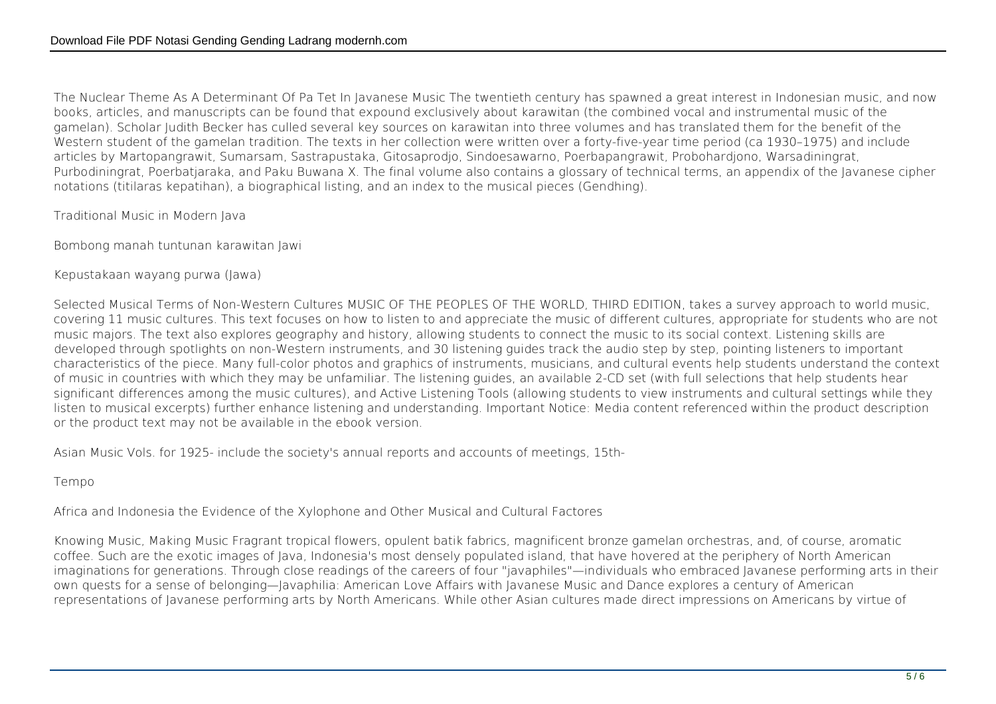The Nuclear Theme As A Determinant Of Pa Tet In Javanese Music The twentieth century has spawned a great interest in Indonesian music, and now books, articles, and manuscripts can be found that expound exclusively about karawitan (the combined vocal and instrumental music of the gamelan). Scholar Judith Becker has culled several key sources on karawitan into three volumes and has translated them for the benefit of the Western student of the gamelan tradition. The texts in her collection were written over a forty-five-year time period (ca 1930–1975) and include articles by Martopangrawit, Sumarsam, Sastrapustaka, Gitosaprodjo, Sindoesawarno, Poerbapangrawit, Probohardjono, Warsadiningrat, Purbodiningrat, Poerbatjaraka, and Paku Buwana X. The final volume also contains a glossary of technical terms, an appendix of the Javanese cipher notations (titilaras kepatihan), a biographical listing, and an index to the musical pieces (Gendhing).

Traditional Music in Modern Java

Bombong manah tuntunan karawitan Jawi

Kepustakaan wayang purwa (Jawa)

Selected Musical Terms of Non-Western Cultures MUSIC OF THE PEOPLES OF THE WORLD, THIRD EDITION, takes a survey approach to world music, covering 11 music cultures. This text focuses on how to listen to and appreciate the music of different cultures, appropriate for students who are not music majors. The text also explores geography and history, allowing students to connect the music to its social context. Listening skills are developed through spotlights on non-Western instruments, and 30 listening guides track the audio step by step, pointing listeners to important characteristics of the piece. Many full-color photos and graphics of instruments, musicians, and cultural events help students understand the context of music in countries with which they may be unfamiliar. The listening guides, an available 2-CD set (with full selections that help students hear significant differences among the music cultures), and Active Listening Tools (allowing students to view instruments and cultural settings while they listen to musical excerpts) further enhance listening and understanding. Important Notice: Media content referenced within the product description or the product text may not be available in the ebook version.

Asian Music Vols. for 1925- include the society's annual reports and accounts of meetings, 15th-

Tempo

Africa and Indonesia the Evidence of the Xylophone and Other Musical and Cultural Factores

Knowing Music, Making Music Fragrant tropical flowers, opulent batik fabrics, magnificent bronze gamelan orchestras, and, of course, aromatic coffee. Such are the exotic images of Java, Indonesia's most densely populated island, that have hovered at the periphery of North American imaginations for generations. Through close readings of the careers of four "javaphiles"—individuals who embraced Javanese performing arts in their own quests for a sense of belonging—Javaphilia: American Love Affairs with Javanese Music and Dance explores a century of American representations of Javanese performing arts by North Americans. While other Asian cultures made direct impressions on Americans by virtue of